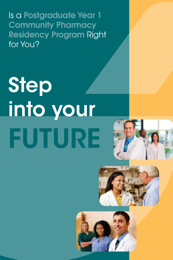Is a Postgraduate Year 1 **Community Pharmacy** Residency Program Right for You?

# Step into your FUTURE





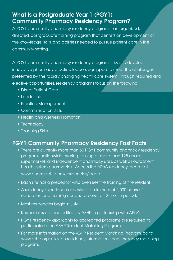# What Is a Postgraduate Year 1 (PGY1) Community Pharmacy Residency Program?

A PGY1 community pharmacy residency program is an organized, directed, postgraduate training program that centers on development of the knowledge, skills, and abilities needed to pursue patient care in the community setting.

A PGY1 community pharmacy residency program strives to develop innovative pharmacy practice leaders equipped to meet the challenges presented by the rapidly changing health care system. Through required and elective opportunities, residency programs focus on the following:

- • Direct Patient Care
- Leadership
- Practice Management
- Communication Skills
- Health and Wellness Promotion
- Technology
- Teaching Skills

# PGY1 Community Pharmacy Residency Fast Facts

- There are currently more than 60 PGY1 community pharmacy residency programs nationwide offering training at more than 125 chain, supermarket, and independent pharmacy sites, as well as outpatient health-system pharmacies. Access the APhA residency locator at www.pharmacist.com/residencies/locator.
- Each site has a preceptor who oversees the training of the resident.
- A residency experience consists of a minimum of 2,000 hours of education and training conducted over a 12-month period.
- Most residencies begin in July.
- Residencies are accredited by ASHP in partnership with APhA.
- PGY1 residency applicants to accredited programs are required to participate in the ASHP Resident Matching Program.
- For more information on the ASHP Resident Matching Program, go to www.ashp.org; click on residency information, then residency matching program.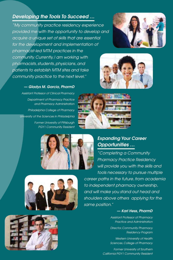## *Developing the Tools To Succeed …*

*"My community practice residency experience provided me with the opportunity to develop and acquire a unique set of skills that are essential for the development and implementation of pharmacist-led MTM practices in the community. Currently, I am working with pharmacists, students, physicians, and patients to establish MTM sites and take community practice to the next level."*





#### *— Gladys M. Garcia, PharmD*

*Assistant Professor of Clinical Pharmacy Department of Pharmacy Practice and Pharmacy Administration Philadelphia College of Pharmacy University of the Sciences in Philadelphia Former University of Pittsburgh PGY1 Community Resident*





## *Expanding Your Career Opportunities …*

*"Completing a Community Pharmacy Practice Residency will provide you with the skills and tools necessary to pursue multiple career paths in the future, from academia to independent pharmacy ownership, and will make you stand out head and shoulders above others applying for the same position."*

#### *— Karl Hess, PharmD*

*Assistant Professor of Pharmacy Practice and Administration*

*Director, Community Pharmacy Residency Program*

*Western University of Health Sciences, College of Pharmacy*

*Former University of Southern California PGY1 Community Resident* 



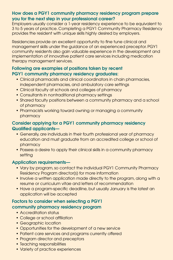#### How does a PGY1 community pharmacy residency program prepare you for the next step in your professional career?

Employers usually consider a 1-year residency experience to be equivalent to 3 to 5 years of practice. Completing a PGY1 Community Pharmacy Residency provides the resident with unique skills highly desired by employers.

Residencies provide an excellent opportunity to fine tune clinical and management skills under the guidance of an experienced preceptor. PGY1 community residents also gain valuable experience in the development and implementation of innovative patient care services including medication therapy management services.

#### Following are examples of positions taken by recent PGY1 community pharmacy residency graduates:

- Clinical pharmacists and clinical coordinators in chain pharmacies, independent pharmacies, and ambulatory care settings
- Clinical faculty at schools and colleges of pharmacy
- Consultants in nontraditional pharmacy settings
- Shared faculty positions between a community pharmacy and a school of pharmacy
- Pharmacists working toward owning or managing a community pharmacy

### Consider applying for a PGY1 community pharmacy residency Qualified applicants—

- Generally, are individuals in their fourth professional year of pharmacy education and must graduate from an accredited college or school of pharmacy
- Possess a desire to apply their clinical skills in a community pharmacy setting

### Application requirements—

- Vary by program, so contact the individual PGY1 Community Pharmacy Residency Program director(s) for more information
- Involve a written application made directly to the program, along with a resume or curriculum vitae and letters of recommendation
- Have a program-specific deadline, but usually January is the latest an application will be accepted

#### Factors to consider when selecting a PGY1 community pharmacy residency program

- Accreditation status
- College or school affiliation
- Geographic location
- Opportunities for the development of a new service
- Patient care services and programs currently offered
- Program director and preceptors
- Teaching responsibilities
- Variety of practice experiences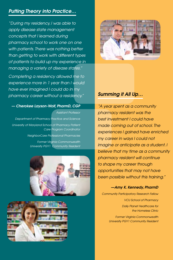## *Putting Theory into Practice…*

*"During my residency, I was able to apply disease state management concepts that I learned during pharmacy school to work one on one with patients. There was nothing better than getting to work with different types of patients to build up my experience in managing a variety of disease states."* 

*Completing a residency allowed me to experience more in 1 year than I would have ever imagined I could do in my pharmacy career without a residency."* 

#### *— Cherokee Layson-Wolf, PharmD, CGP*

*Assistant Professor Department of Pharmacy Practice and Science University of Maryland School of Pharmacy Patient Care Program Coordinator NeighborCare Professional Pharmacies Former Virginia Commonwealth University PGY1 Community Resident* 







## *Summing it All Up…*

*"A year spent as a community pharmacy resident was the best investment I could have made coming out of school. The experiences I gained have enriched my career in ways I could not imagine or anticipate as a student. I believe that my time as a community pharmacy resident will continue to shape my career through opportunities that may not have been possible without this training."*

#### *—Amy K. Kennedy, PharmD*

*Community Participatory Research Fellow VCU School of Pharmacy Daily Planet Healthcare for the Homeless Clinic Former Virginia Commonwealth* 

*University PGY1 Community Resident*